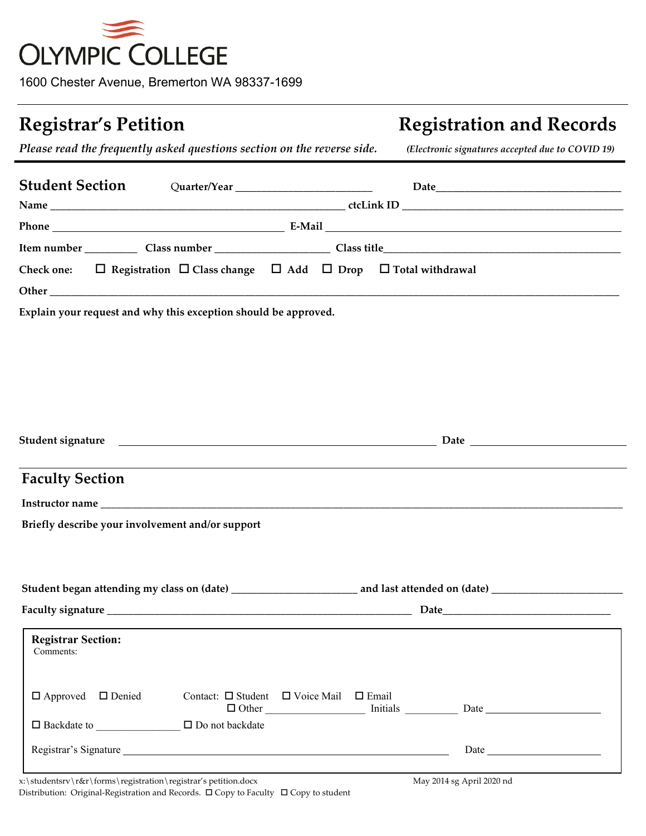

1600 Chester Avenue, Bremerton WA 98337-1699

# **Registrar's Petition Registration and Records**

*Please read the frequently asked questions section on the reverse side. (Electronic signatures accepted due to COVID 19)*

|                                        | Student Section Quarter/Year 1988 Date Date |                                                                                                   |  |  |  |                                                                                                                                                                                                                                |  |
|----------------------------------------|---------------------------------------------|---------------------------------------------------------------------------------------------------|--|--|--|--------------------------------------------------------------------------------------------------------------------------------------------------------------------------------------------------------------------------------|--|
|                                        |                                             |                                                                                                   |  |  |  |                                                                                                                                                                                                                                |  |
|                                        |                                             |                                                                                                   |  |  |  |                                                                                                                                                                                                                                |  |
|                                        |                                             |                                                                                                   |  |  |  |                                                                                                                                                                                                                                |  |
|                                        |                                             | Check one: $\Box$ Registration $\Box$ Class change $\Box$ Add $\Box$ Drop $\Box$ Total withdrawal |  |  |  |                                                                                                                                                                                                                                |  |
|                                        |                                             |                                                                                                   |  |  |  |                                                                                                                                                                                                                                |  |
|                                        |                                             | Explain your request and why this exception should be approved.                                   |  |  |  |                                                                                                                                                                                                                                |  |
|                                        |                                             |                                                                                                   |  |  |  |                                                                                                                                                                                                                                |  |
|                                        |                                             |                                                                                                   |  |  |  |                                                                                                                                                                                                                                |  |
|                                        |                                             |                                                                                                   |  |  |  |                                                                                                                                                                                                                                |  |
| <b>Faculty Section</b>                 |                                             |                                                                                                   |  |  |  |                                                                                                                                                                                                                                |  |
|                                        |                                             |                                                                                                   |  |  |  |                                                                                                                                                                                                                                |  |
|                                        |                                             | Briefly describe your involvement and/or support                                                  |  |  |  |                                                                                                                                                                                                                                |  |
|                                        |                                             |                                                                                                   |  |  |  |                                                                                                                                                                                                                                |  |
|                                        |                                             |                                                                                                   |  |  |  |                                                                                                                                                                                                                                |  |
|                                        |                                             |                                                                                                   |  |  |  |                                                                                                                                                                                                                                |  |
| <b>Registrar Section:</b><br>Comments: |                                             |                                                                                                   |  |  |  | ,我们也不会有什么。""我们的人,我们也不会有什么?""我们的人,我们也不会有什么?""我们的人,我们也不会有什么?""我们的人,我们也不会有什么?""我们的人                                                                                                                                               |  |
| $\Box$ Approved                        | □ Denied                                    | Contact: $\Box$ Student $\Box$ Voice Mail $\Box$ Email                                            |  |  |  | Dother https://www.facebook.com/communications/communications/communications/communications/communications/communications/communications/communications/communications/communications/communications/communications/communicat |  |
|                                        | $\Box$ Backdate to                          | □ Do not backdate                                                                                 |  |  |  |                                                                                                                                                                                                                                |  |
|                                        |                                             |                                                                                                   |  |  |  | Date                                                                                                                                                                                                                           |  |
|                                        |                                             |                                                                                                   |  |  |  |                                                                                                                                                                                                                                |  |